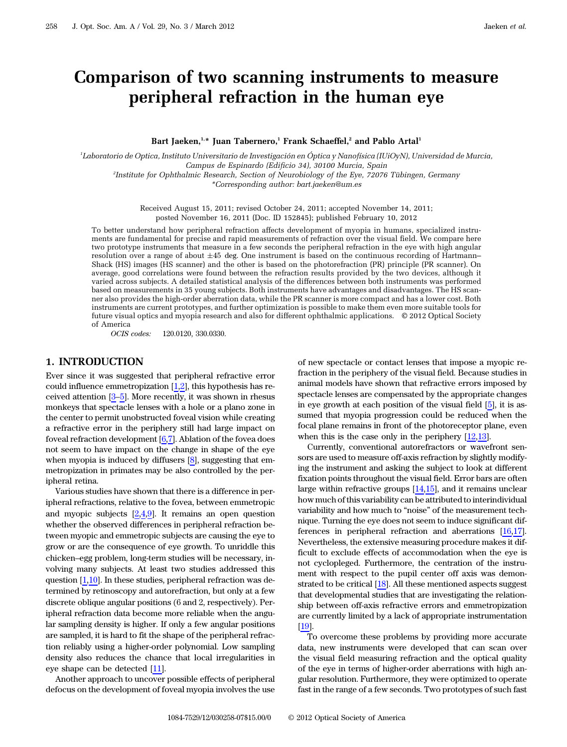Bart Jaeken,<sup>1,\*</sup> Juan Tabernero,<sup>1</sup> Frank Schaeffel,<sup>2</sup> and Pablo Artal<sup>1</sup>

Comparison of two scanning instruments to measure

peripheral refraction in the human eye

1 Laboratorio de Optica, Instituto Universitario de Investigación en Óptica y Nanofísica (IUiOyN), Universidad de Murcia, Campus de Espinardo (Edificio 34), 30100 Murcia, Spain 2 Institute for Ophthalmic Research, Section of Neurobiology of the Eye, 72076 Tübingen, Germany \*Corresponding author: bart.jaeken@um.es

> Received August 15, 2011; revised October 24, 2011; accepted November 14, 2011; posted November 16, 2011 (Doc. ID 152845); published February 10, 2012

To better understand how peripheral refraction affects development of myopia in humans, specialized instruments are fundamental for precise and rapid measurements of refraction over the visual field. We compare here two prototype instruments that measure in a few seconds the peripheral refraction in the eye with high angular resolution over a range of about 45 deg. One instrument is based on the continuous recording of Hartmann*–* Shack (HS) images (HS scanner) and the other is based on the photorefraction (PR) principle (PR scanner). On average, good correlations were found between the refraction results provided by the two devices, although it varied across subjects. A detailed statistical analysis of the differences between both instruments was performed based on measurements in 35 young subjects. Both instruments have advantages and disadvantages. The HS scanner also provides the high-order aberration data, while the PR scanner is more compact and has a lower cost. Both instruments are current prototypes, and further optimization is possible to make them even more suitable tools for future visual optics and myopia research and also for different ophthalmic applications. © 2012 Optical Society of America

OCIS codes: 120.0120, 330.0330.

# 1. INTRODUCTION

Ever since it was suggested that peripheral refractive error could influence emmetropization  $[1,2]$  $[1,2]$  $[1,2]$ , this hypothesis has received attention [[3](#page-6-2)–[5](#page-6-3)]. More recently, it was shown in rhesus monkeys that spectacle lenses with a hole or a plano zone in the center to permit unobstructed foveal vision while creating a refractive error in the periphery still had large impact on foveal refraction development  $[6,7]$  $[6,7]$ . Ablation of the fovea does not seem to have impact on the change in shape of the eye when myopia is induced by diffusers [\[8\]](#page-6-6), suggesting that emmetropization in primates may be also controlled by the peripheral retina.

Various studies have shown that there is a difference in peripheral refractions, relative to the fovea, between emmetropic and myopic subjects [\[2,](#page-6-1)[4](#page-6-7),[9](#page-6-8)]. It remains an open question whether the observed differences in peripheral refraction between myopic and emmetropic subjects are causing the eye to grow or are the consequence of eye growth. To unriddle this chicken–egg problem, long-term studies will be necessary, involving many subjects. At least two studies addressed this question  $[1,10]$  $[1,10]$  $[1,10]$ . In these studies, peripheral refraction was determined by retinoscopy and autorefraction, but only at a few discrete oblique angular positions (6 and 2, respectively). Peripheral refraction data become more reliable when the angular sampling density is higher. If only a few angular positions are sampled, it is hard to fit the shape of the peripheral refraction reliably using a higher-order polynomial. Low sampling density also reduces the chance that local irregularities in eye shape can be detected [\[11](#page-6-10)].

Another approach to uncover possible effects of peripheral defocus on the development of foveal myopia involves the use

of new spectacle or contact lenses that impose a myopic refraction in the periphery of the visual field. Because studies in animal models have shown that refractive errors imposed by spectacle lenses are compensated by the appropriate changes in eye growth at each position of the visual field [[5](#page-6-3)], it is assumed that myopia progression could be reduced when the focal plane remains in front of the photoreceptor plane, even when this is the case only in the periphery  $[12,13]$  $[12,13]$  $[12,13]$ .

Currently, conventional autorefractors or wavefront sensors are used to measure off-axis refraction by slightly modifying the instrument and asking the subject to look at different fixation points throughout the visual field. Error bars are often large within refractive groups [[14,](#page-6-13)[15](#page-6-14)], and it remains unclear how much of this variability can be attributed to interindividual variability and how much to "noise" of the measurement technique. Turning the eye does not seem to induce significant differences in peripheral refraction and aberrations [[16,](#page-6-15)[17\]](#page-6-16). Nevertheless, the extensive measuring procedure makes it difficult to exclude effects of accommodation when the eye is not cyclopleged. Furthermore, the centration of the instrument with respect to the pupil center off axis was demonstrated to be critical [\[18](#page-6-17)]. All these mentioned aspects suggest that developmental studies that are investigating the relationship between off-axis refractive errors and emmetropization are currently limited by a lack of appropriate instrumentation [[19\]](#page-6-18).

To overcome these problems by providing more accurate data, new instruments were developed that can scan over the visual field measuring refraction and the optical quality of the eye in terms of higher-order aberrations with high angular resolution. Furthermore, they were optimized to operate fast in the range of a few seconds. Two prototypes of such fast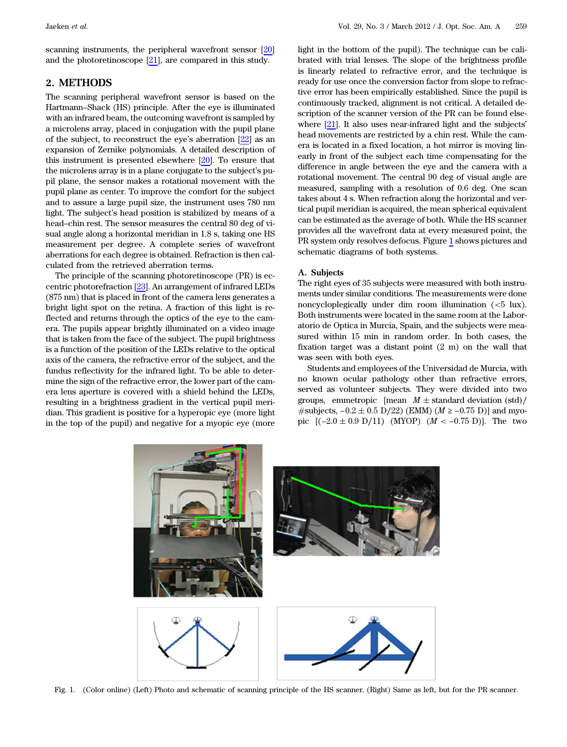scanning instruments, the peripheral wavefront sensor [\[20](#page-6-19)] and the photoretinoscope [\[21](#page-6-20)], are compared in this study.

# 2. METHODS

The scanning peripheral wavefront sensor is based on the Hartmann–Shack (HS) principle. After the eye is illuminated with an infrared beam, the outcoming wavefront is sampled by a microlens array, placed in conjugation with the pupil plane of the subject, to reconstruct the eye's aberration [\[22\]](#page-6-21) as an expansion of Zernike polynomials. A detailed description of this instrument is presented elsewhere [[20\]](#page-6-19). To ensure that the microlens array is in a plane conjugate to the subject's pupil plane, the sensor makes a rotational movement with the pupil plane as center. To improve the comfort for the subject and to assure a large pupil size, the instrument uses 780 nm light. The subject's head position is stabilized by means of a head–chin rest. The sensor measures the central 80 deg of visual angle along a horizontal meridian in 1.8 s, taking one HS measurement per degree. A complete series of wavefront aberrations for each degree is obtained. Refraction is then calculated from the retrieved aberration terms.

The principle of the scanning photoretinoscope (PR) is eccentric photorefraction [\[23](#page-6-22)]. An arrangement of infrared LEDs (875 nm) that is placed in front of the camera lens generates a bright light spot on the retina. A fraction of this light is reflected and returns through the optics of the eye to the camera. The pupils appear brightly illuminated on a video image that is taken from the face of the subject. The pupil brightness is a function of the position of the LEDs relative to the optical axis of the camera, the refractive error of the subject, and the fundus reflectivity for the infrared light. To be able to determine the sign of the refractive error, the lower part of the camera lens aperture is covered with a shield behind the LEDs, resulting in a brightness gradient in the vertical pupil meridian. This gradient is positive for a hyperopic eye (more light in the top of the pupil) and negative for a myopic eye (more

light in the bottom of the pupil). The technique can be calibrated with trial lenses. The slope of the brightness profile is linearly related to refractive error, and the technique is ready for use once the conversion factor from slope to refractive error has been empirically established. Since the pupil is continuously tracked, alignment is not critical. A detailed description of the scanner version of the PR can be found elsewhere [[21\]](#page-6-20). It also uses near-infrared light and the subjects' head movements are restricted by a chin rest. While the camera is located in a fixed location, a hot mirror is moving linearly in front of the subject each time compensating for the difference in angle between the eye and the camera with a rotational movement. The central 90 deg of visual angle are measured, sampling with a resolution of 0.6 deg. One scan takes about 4 s. When refraction along the horizontal and vertical pupil meridian is acquired, the mean spherical equivalent can be estimated as the average of both. While the HS scanner provides all the wavefront data at every measured point, the PR system only resolves defocus. Figure [1](#page-1-0) shows pictures and schematic diagrams of both systems.

### A. Subjects

The right eyes of 35 subjects were measured with both instruments under similar conditions. The measurements were done noncycloplegically under dim room illumination (<5 lux). Both instruments were located in the same room at the Laboratorio de Optica in Murcia, Spain, and the subjects were measured within 15 min in random order. In both cases, the fixation target was a distant point (2 m) on the wall that was seen with both eyes.

Students and employees of the Universidad de Murcia, with no known ocular pathology other than refractive errors, served as volunteer subjects. They were divided into two groups, emmetropic [mean  $M \pm$  standard deviation (std)/  $\# \text{subjects}, -0.2 \pm 0.5 \text{ D}/22$  (EMM) ( $M \ge -0.75 \text{ D}$ )] and myopic  $[(-2.0 \pm 0.9 \text{ D}/11)$  (MYOP)  $(M < -0.75 \text{ D})]$ . The two

<span id="page-1-0"></span>

Fig. 1. (Color online) (Left) Photo and schematic of scanning principle of the HS scanner. (Right) Same as left, but for the PR scanner.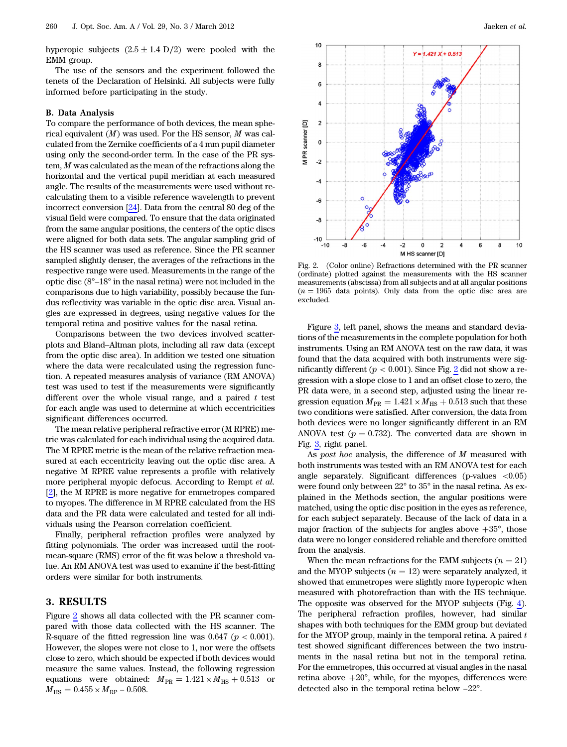hyperopic subjects  $(2.5 \pm 1.4 \text{ D}/2)$  were pooled with the EMM group.

The use of the sensors and the experiment followed the tenets of the Declaration of Helsinki. All subjects were fully informed before participating in the study.

### B. Data Analysis

To compare the performance of both devices, the mean spherical equivalent  $(M)$  was used. For the HS sensor,  $M$  was calculated from the Zernike coefficients of a 4 mm pupil diameter using only the second-order term. In the case of the PR system, M was calculated as the mean of the refractions along the horizontal and the vertical pupil meridian at each measured angle. The results of the measurements were used without recalculating them to a visible reference wavelength to prevent incorrect conversion [[24\]](#page-6-23). Data from the central 80 deg of the visual field were compared. To ensure that the data originated from the same angular positions, the centers of the optic discs were aligned for both data sets. The angular sampling grid of the HS scanner was used as reference. Since the PR scanner sampled slightly denser, the averages of the refractions in the respective range were used. Measurements in the range of the optic disc (8°–18° in the nasal retina) were not included in the comparisons due to high variability, possibly because the fundus reflectivity was variable in the optic disc area. Visual angles are expressed in degrees, using negative values for the temporal retina and positive values for the nasal retina.

Comparisons between the two devices involved scatterplots and Bland–Altman plots, including all raw data (except from the optic disc area). In addition we tested one situation where the data were recalculated using the regression function. A repeated measures analysis of variance (RM ANOVA) test was used to test if the measurements were significantly different over the whole visual range, and a paired  $t$  test for each angle was used to determine at which eccentricities significant differences occurred.

The mean relative peripheral refractive error (M RPRE) metric was calculated for each individual using the acquired data. The M RPRE metric is the mean of the relative refraction measured at each eccentricity leaving out the optic disc area. A negative M RPRE value represents a profile with relatively more peripheral myopic defocus. According to Rempt et al. [[2](#page-6-1)], the M RPRE is more negative for emmetropes compared to myopes. The difference in M RPRE calculated from the HS data and the PR data were calculated and tested for all individuals using the Pearson correlation coefficient.

Finally, peripheral refraction profiles were analyzed by fitting polynomials. The order was increased until the rootmean-square (RMS) error of the fit was below a threshold value. An RM ANOVA test was used to examine if the best-fitting orders were similar for both instruments.

# 3. RESULTS

Figure [2](#page-2-0) shows all data collected with the PR scanner compared with those data collected with the HS scanner. The R-square of the fitted regression line was  $0.647$  ( $p < 0.001$ ). However, the slopes were not close to 1, nor were the offsets close to zero, which should be expected if both devices would measure the same values. Instead, the following regression equations were obtained:  $M_{PR} = 1.421 \times M_{HS} + 0.513$  or  $M_{\text{HS}} = 0.455 \times M_{\text{RP}} - 0.508.$ 

<span id="page-2-0"></span>

Fig. 2. (Color online) Refractions determined with the PR scanner (ordinate) plotted against the measurements with the HS scanner measurements (abscissa) from all subjects and at all angular positions  $(n = 1965$  data points). Only data from the optic disc area are excluded.

Figure [3,](#page-3-0) left panel, shows the means and standard deviations of the measurements in the complete population for both instruments. Using an RM ANOVA test on the raw data, it was found that the data acquired with both instruments were significantly different ( $p < 0.001$ ). Since Fig. [2](#page-2-0) did not show a regression with a slope close to 1 and an offset close to zero, the PR data were, in a second step, adjusted using the linear regression equation  $M_{PR} = 1.421 \times M_{HS} + 0.513$  such that these two conditions were satisfied. After conversion, the data from both devices were no longer significantly different in an RM ANOVA test ( $p = 0.732$ ). The converted data are shown in Fig. [3](#page-3-0), right panel.

As post hoc analysis, the difference of  $M$  measured with both instruments was tested with an RM ANOVA test for each angle separately. Significant differences (p-values  $\langle 0.05 \rangle$ ) were found only between 22° to 35° in the nasal retina. As explained in the Methods section, the angular positions were matched, using the optic disc position in the eyes as reference, for each subject separately. Because of the lack of data in a major fraction of the subjects for angles above  $+35^{\circ}$ , those data were no longer considered reliable and therefore omitted from the analysis.

When the mean refractions for the EMM subjects  $(n = 21)$ and the MYOP subjects  $(n = 12)$  were separately analyzed, it showed that emmetropes were slightly more hyperopic when measured with photorefraction than with the HS technique. The opposite was observed for the MYOP subjects (Fig. [4](#page-3-1)). The peripheral refraction profiles, however, had similar shapes with both techniques for the EMM group but deviated for the MYOP group, mainly in the temporal retina. A paired  $t$ test showed significant differences between the two instruments in the nasal retina but not in the temporal retina. For the emmetropes, this occurred at visual angles in the nasal retina above  $+20^{\circ}$ , while, for the myopes, differences were detected also in the temporal retina below −22°.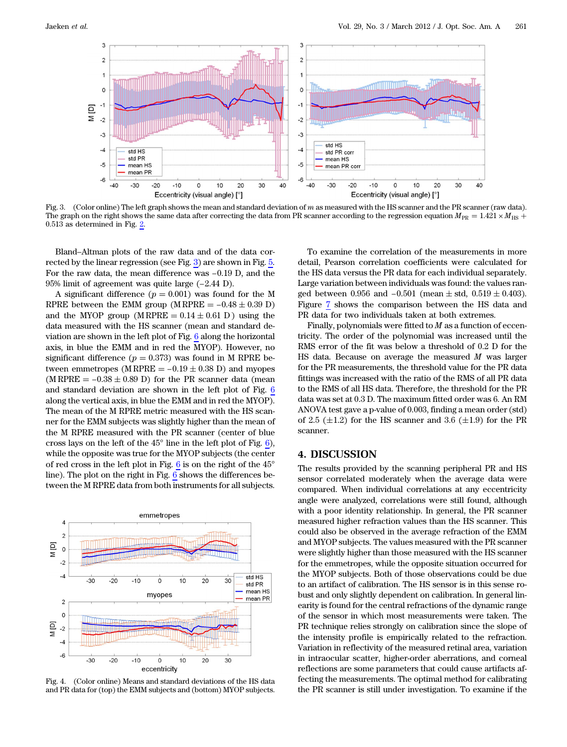<span id="page-3-0"></span>

Fig. 3. (Color online) The left graph shows the mean and standard deviation of m as measured with the HS scanner and the PR scanner (raw data). The graph on the right shows the same data after correcting the data from PR scanner according to the regression equation  $M_{\text{PR}} = 1.421 \times M_{\text{HS}} +$  $0.51\overline{3}$  as determined in Fig.  $\underline{2}$ .

Bland–Altman plots of the raw data and of the data corrected by the linear regression (see Fig. [3](#page-3-0)) are shown in Fig. [5.](#page-4-0) For the raw data, the mean difference was −0.19 D, and the 95% limit of agreement was quite large (−2.44 D).

A significant difference  $(p = 0.001)$  was found for the M RPRE between the EMM group (M RPRE  $= -0.48 \pm 0.39$  D) and the MYOP group (M RPRE  $= 0.14 \pm 0.61$  D) using the data measured with the HS scanner (mean and standard deviation are shown in the left plot of Fig. [6](#page-4-1) along the horizontal axis, in blue the EMM and in red the MYOP). However, no significant difference ( $p = 0.373$ ) was found in M RPRE between emmetropes (M RPRE  $= -0.19 \pm 0.38$  D) and myopes (M RPRE  $= -0.38 \pm 0.89$  D) for the PR scanner data (mean and standard deviation are shown in the left plot of Fig. [6](#page-4-1) along the vertical axis, in blue the EMM and in red the MYOP). The mean of the M RPRE metric measured with the HS scanner for the EMM subjects was slightly higher than the mean of the M RPRE measured with the PR scanner (center of blue cross lays on the left of the 45° line in the left plot of Fig. [6](#page-4-1)), while the opposite was true for the MYOP subjects (the center of red cross in the left plot in Fig.  $6$  is on the right of the  $45^{\circ}$ line). The plot on the right in Fig. [6](#page-4-1) shows the differences between the M RPRE data from both instruments for all subjects.

<span id="page-3-1"></span>

Fig. 4. (Color online) Means and standard deviations of the HS data and PR data for (top) the EMM subjects and (bottom) MYOP subjects.

To examine the correlation of the measurements in more detail, Pearson correlation coefficients were calculated for the HS data versus the PR data for each individual separately. Large variation between individuals was found: the values ranged between 0.956 and  $-0.501$  (mean  $\pm$  std,  $0.519 \pm 0.403$ ). Figure [7](#page-5-0) shows the comparison between the HS data and PR data for two individuals taken at both extremes.

Finally, polynomials were fitted to  $M$  as a function of eccentricity. The order of the polynomial was increased until the RMS error of the fit was below a threshold of 0.2 D for the HS data. Because on average the measured  $M$  was larger for the PR measurements, the threshold value for the PR data fittings was increased with the ratio of the RMS of all PR data to the RMS of all HS data. Therefore, the threshold for the PR data was set at 0.3 D. The maximum fitted order was 6. An RM ANOVA test gave a p-value of 0.003, finding a mean order (std) of 2.5 ( $\pm$ 1.2) for the HS scanner and 3.6 ( $\pm$ 1.9) for the PR scanner.

### 4. DISCUSSION

The results provided by the scanning peripheral PR and HS sensor correlated moderately when the average data were compared. When individual correlations at any eccentricity angle were analyzed, correlations were still found, although with a poor identity relationship. In general, the PR scanner measured higher refraction values than the HS scanner. This could also be observed in the average refraction of the EMM and MYOP subjects. The values measured with the PR scanner were slightly higher than those measured with the HS scanner for the emmetropes, while the opposite situation occurred for the MYOP subjects. Both of those observations could be due to an artifact of calibration. The HS sensor is in this sense robust and only slightly dependent on calibration. In general linearity is found for the central refractions of the dynamic range of the sensor in which most measurements were taken. The PR technique relies strongly on calibration since the slope of the intensity profile is empirically related to the refraction. Variation in reflectivity of the measured retinal area, variation in intraocular scatter, higher-order aberrations, and corneal reflections are some parameters that could cause artifacts affecting the measurements. The optimal method for calibrating the PR scanner is still under investigation. To examine if the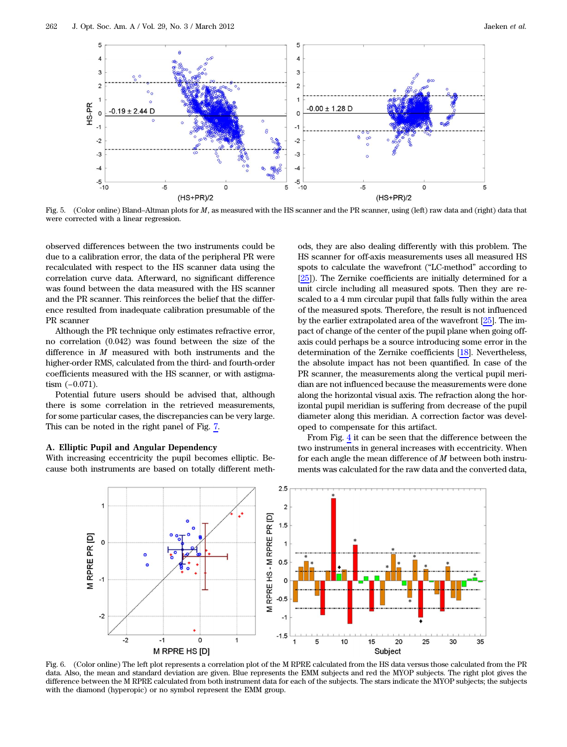<span id="page-4-0"></span>

Fig. 5. (Color online) Bland–Altman plots for <sup>M</sup>, as measured with the HS scanner and the PR scanner, using (left) raw data and (right) data that were corrected with a linear regression.

observed differences between the two instruments could be due to a calibration error, the data of the peripheral PR were recalculated with respect to the HS scanner data using the correlation curve data. Afterward, no significant difference was found between the data measured with the HS scanner and the PR scanner. This reinforces the belief that the difference resulted from inadequate calibration presumable of the PR scanner

Although the PR technique only estimates refractive error, no correlation (0.042) was found between the size of the difference in  $M$  measured with both instruments and the higher-order RMS, calculated from the third- and fourth-order coefficients measured with the HS scanner, or with astigmatism (−0.071).

Potential future users should be advised that, although there is some correlation in the retrieved measurements, for some particular cases, the discrepancies can be very large. This can be noted in the right panel of Fig. [7](#page-5-0).

#### A. Elliptic Pupil and Angular Dependency

<span id="page-4-1"></span>With increasing eccentricity the pupil becomes elliptic. Because both instruments are based on totally different meth-

ods, they are also dealing differently with this problem. The HS scanner for off-axis measurements uses all measured HS spots to calculate the wavefront ("LC-method" according to [[25\]](#page-6-24)). The Zernike coefficients are initially determined for a unit circle including all measured spots. Then they are rescaled to a 4 mm circular pupil that falls fully within the area of the measured spots. Therefore, the result is not influenced by the earlier extrapolated area of the wavefront [\[25](#page-6-24)]. The impact of change of the center of the pupil plane when going offaxis could perhaps be a source introducing some error in the determination of the Zernike coefficients [[18\]](#page-6-17). Nevertheless, the absolute impact has not been quantified. In case of the PR scanner, the measurements along the vertical pupil meridian are not influenced because the measurements were done along the horizontal visual axis. The refraction along the horizontal pupil meridian is suffering from decrease of the pupil diameter along this meridian. A correction factor was developed to compensate for this artifact.

From Fig. [4](#page-3-1) it can be seen that the difference between the two instruments in general increases with eccentricity. When for each angle the mean difference of  $M$  between both instruments was calculated for the raw data and the converted data,

![](_page_4_Figure_11.jpeg)

Fig. 6. (Color online) The left plot represents a correlation plot of the M RPRE calculated from the HS data versus those calculated from the PR data. Also, the mean and standard deviation are given. Blue represents the EMM subjects and red the MYOP subjects. The right plot gives the difference between the M RPRE calculated from both instrument data for each of the subjects. The stars indicate the MYOP subjects; the subjects with the diamond (hyperopic) or no symbol represent the EMM group.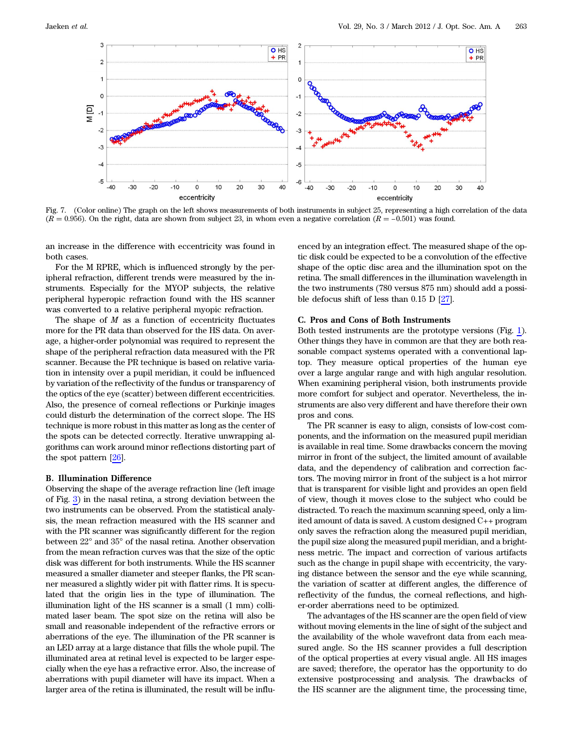<span id="page-5-0"></span>![](_page_5_Figure_2.jpeg)

Fig. 7. (Color online) The graph on the left shows measurements of both instruments in subject 25, representing a high correlation of the data  $(R = 0.956)$ . On the right, data are shown from subject 23, in whom even a negative correlation  $(R = -0.501)$  was found.

an increase in the difference with eccentricity was found in both cases.

For the M RPRE, which is influenced strongly by the peripheral refraction, different trends were measured by the instruments. Especially for the MYOP subjects, the relative peripheral hyperopic refraction found with the HS scanner was converted to a relative peripheral myopic refraction.

The shape of  $M$  as a function of eccentricity fluctuates more for the PR data than observed for the HS data. On average, a higher-order polynomial was required to represent the shape of the peripheral refraction data measured with the PR scanner. Because the PR technique is based on relative variation in intensity over a pupil meridian, it could be influenced by variation of the reflectivity of the fundus or transparency of the optics of the eye (scatter) between different eccentricities. Also, the presence of corneal reflections or Purkinje images could disturb the determination of the correct slope. The HS technique is more robust in this matter as long as the center of the spots can be detected correctly. Iterative unwrapping algorithms can work around minor reflections distorting part of the spot pattern [[26\]](#page-6-25).

### B. Illumination Difference

Observing the shape of the average refraction line (left image of Fig. [3](#page-3-0)) in the nasal retina, a strong deviation between the two instruments can be observed. From the statistical analysis, the mean refraction measured with the HS scanner and with the PR scanner was significantly different for the region between 22° and 35° of the nasal retina. Another observation from the mean refraction curves was that the size of the optic disk was different for both instruments. While the HS scanner measured a smaller diameter and steeper flanks, the PR scanner measured a slightly wider pit with flatter rims. It is speculated that the origin lies in the type of illumination. The illumination light of the HS scanner is a small (1 mm) collimated laser beam. The spot size on the retina will also be small and reasonable independent of the refractive errors or aberrations of the eye. The illumination of the PR scanner is an LED array at a large distance that fills the whole pupil. The illuminated area at retinal level is expected to be larger especially when the eye has a refractive error. Also, the increase of aberrations with pupil diameter will have its impact. When a larger area of the retina is illuminated, the result will be influ-

enced by an integration effect. The measured shape of the optic disk could be expected to be a convolution of the effective shape of the optic disc area and the illumination spot on the retina. The small differences in the illumination wavelength in the two instruments (780 versus 875 nm) should add a possible defocus shift of less than 0.15 D [\[27](#page-6-26)].

### C. Pros and Cons of Both Instruments

Both tested instruments are the prototype versions (Fig. [1](#page-1-0)). Other things they have in common are that they are both reasonable compact systems operated with a conventional laptop. They measure optical properties of the human eye over a large angular range and with high angular resolution. When examining peripheral vision, both instruments provide more comfort for subject and operator. Nevertheless, the instruments are also very different and have therefore their own pros and cons.

The PR scanner is easy to align, consists of low-cost components, and the information on the measured pupil meridian is available in real time. Some drawbacks concern the moving mirror in front of the subject, the limited amount of available data, and the dependency of calibration and correction factors. The moving mirror in front of the subject is a hot mirror that is transparent for visible light and provides an open field of view, though it moves close to the subject who could be distracted. To reach the maximum scanning speed, only a limited amount of data is saved. A custom designed C++ program only saves the refraction along the measured pupil meridian, the pupil size along the measured pupil meridian, and a brightness metric. The impact and correction of various artifacts such as the change in pupil shape with eccentricity, the varying distance between the sensor and the eye while scanning, the variation of scatter at different angles, the difference of reflectivity of the fundus, the corneal reflections, and higher-order aberrations need to be optimized.

The advantages of the HS scanner are the open field of view without moving elements in the line of sight of the subject and the availability of the whole wavefront data from each measured angle. So the HS scanner provides a full description of the optical properties at every visual angle. All HS images are saved; therefore, the operator has the opportunity to do extensive postprocessing and analysis. The drawbacks of the HS scanner are the alignment time, the processing time,